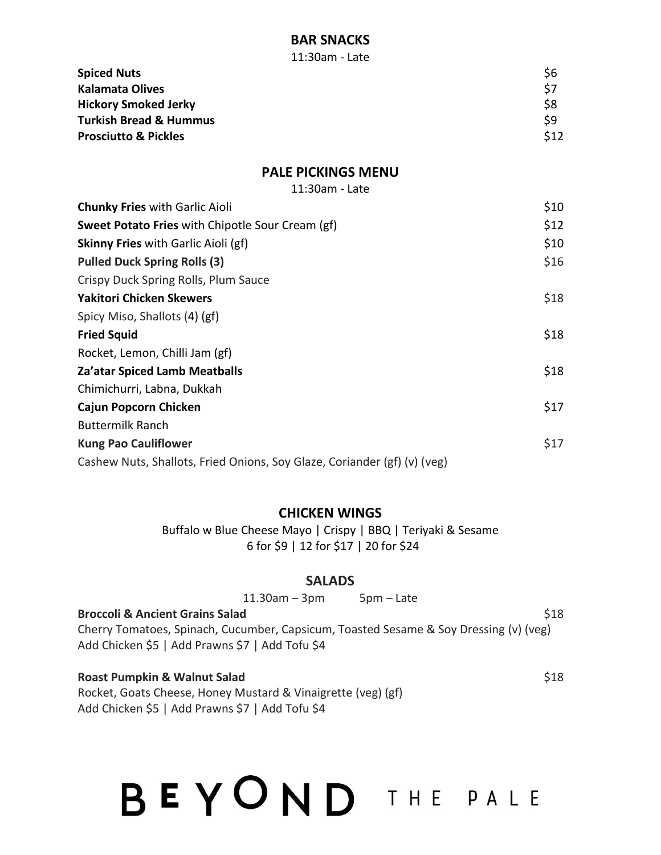### **BAR SNACKS**

11:30am - Late

| <b>Spiced Nuts</b>                | \$6   |
|-----------------------------------|-------|
| <b>Kalamata Olives</b>            | - \$7 |
| <b>Hickory Smoked Jerky</b>       | \$8   |
| <b>Turkish Bread &amp; Hummus</b> | \$9   |
| <b>Prosciutto &amp; Pickles</b>   | \$12  |

### **PALE PICKINGS MENU**

11:30am - Late

| <b>Chunky Fries with Garlic Aioli</b>                                    | \$10 |
|--------------------------------------------------------------------------|------|
| <b>Sweet Potato Fries</b> with Chipotle Sour Cream (gf)                  | \$12 |
| <b>Skinny Fries</b> with Garlic Aioli (gf)                               | \$10 |
| <b>Pulled Duck Spring Rolls (3)</b>                                      | \$16 |
| Crispy Duck Spring Rolls, Plum Sauce                                     |      |
| <b>Yakitori Chicken Skewers</b>                                          | \$18 |
| Spicy Miso, Shallots (4) (gf)                                            |      |
| <b>Fried Squid</b>                                                       | \$18 |
| Rocket, Lemon, Chilli Jam (gf)                                           |      |
| Za'atar Spiced Lamb Meatballs                                            | \$18 |
| Chimichurri, Labna, Dukkah                                               |      |
| Cajun Popcorn Chicken                                                    | \$17 |
| <b>Buttermilk Ranch</b>                                                  |      |
| <b>Kung Pao Cauliflower</b>                                              | \$17 |
| Cashew Nuts, Shallots, Fried Onions, Soy Glaze, Coriander (gf) (v) (veg) |      |

### **CHICKEN WINGS**

Buffalo w Blue Cheese Mayo | Crispy | BBQ | Teriyaki & Sesame 6 for \$9 | 12 for \$17 | 20 for \$24

### **SALADS**

|                                                                                                                                          | $11.30$ am – 3pm | $5pm$ – Late |             |
|------------------------------------------------------------------------------------------------------------------------------------------|------------------|--------------|-------------|
| <b>Broccoli &amp; Ancient Grains Salad</b>                                                                                               |                  |              | <b>\$18</b> |
| Cherry Tomatoes, Spinach, Cucumber, Capsicum, Toasted Sesame & Soy Dressing (v) (veg)<br>Add Chicken \$5   Add Prawns \$7   Add Tofu \$4 |                  |              |             |
| <b>Roast Pumpkin &amp; Walnut Salad</b>                                                                                                  |                  |              | \$18        |

Rocket, Goats Cheese, Honey Mustard & Vinaigrette (veg) (gf) Add Chicken \$5 | Add Prawns \$7 | Add Tofu \$4

# BEYOND THE PALE